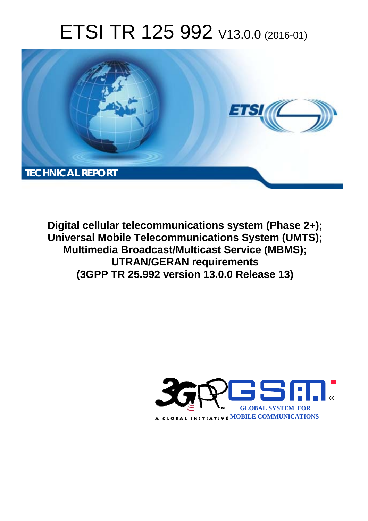# ETSI TR 125 992 V13.0.0 (2016-01)



**Digital cellular telecommunications system (Phase 2+); Universal Mobile Tel elecommunications System ( (UMTS); Multimedia Broadcast/Multicast Service (MBMS); UTRAN N/GERAN requirements (3GPP TR 25.9 .992 version 13.0.0 Release 13 13)** 

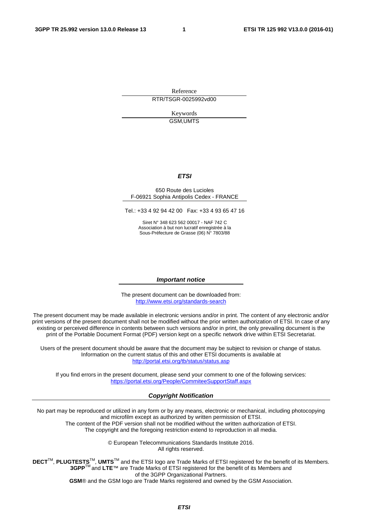Reference RTR/TSGR-0025992vd00

> Keywords GSM,UMTS

#### *ETSI*

#### 650 Route des Lucioles F-06921 Sophia Antipolis Cedex - FRANCE

Tel.: +33 4 92 94 42 00 Fax: +33 4 93 65 47 16

Siret N° 348 623 562 00017 - NAF 742 C Association à but non lucratif enregistrée à la Sous-Préfecture de Grasse (06) N° 7803/88

#### *Important notice*

The present document can be downloaded from: <http://www.etsi.org/standards-search>

The present document may be made available in electronic versions and/or in print. The content of any electronic and/or print versions of the present document shall not be modified without the prior written authorization of ETSI. In case of any existing or perceived difference in contents between such versions and/or in print, the only prevailing document is the print of the Portable Document Format (PDF) version kept on a specific network drive within ETSI Secretariat.

Users of the present document should be aware that the document may be subject to revision or change of status. Information on the current status of this and other ETSI documents is available at <http://portal.etsi.org/tb/status/status.asp>

If you find errors in the present document, please send your comment to one of the following services: <https://portal.etsi.org/People/CommiteeSupportStaff.aspx>

#### *Copyright Notification*

No part may be reproduced or utilized in any form or by any means, electronic or mechanical, including photocopying and microfilm except as authorized by written permission of ETSI.

The content of the PDF version shall not be modified without the written authorization of ETSI. The copyright and the foregoing restriction extend to reproduction in all media.

> © European Telecommunications Standards Institute 2016. All rights reserved.

**DECT**TM, **PLUGTESTS**TM, **UMTS**TM and the ETSI logo are Trade Marks of ETSI registered for the benefit of its Members. **3GPP**TM and **LTE**™ are Trade Marks of ETSI registered for the benefit of its Members and of the 3GPP Organizational Partners.

**GSM**® and the GSM logo are Trade Marks registered and owned by the GSM Association.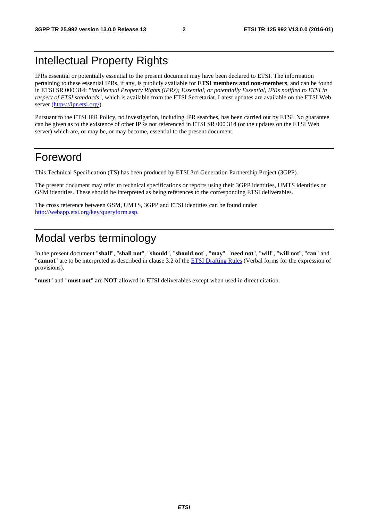### Intellectual Property Rights

IPRs essential or potentially essential to the present document may have been declared to ETSI. The information pertaining to these essential IPRs, if any, is publicly available for **ETSI members and non-members**, and can be found in ETSI SR 000 314: *"Intellectual Property Rights (IPRs); Essential, or potentially Essential, IPRs notified to ETSI in respect of ETSI standards"*, which is available from the ETSI Secretariat. Latest updates are available on the ETSI Web server [\(https://ipr.etsi.org/](https://ipr.etsi.org/)).

Pursuant to the ETSI IPR Policy, no investigation, including IPR searches, has been carried out by ETSI. No guarantee can be given as to the existence of other IPRs not referenced in ETSI SR 000 314 (or the updates on the ETSI Web server) which are, or may be, or may become, essential to the present document.

### Foreword

This Technical Specification (TS) has been produced by ETSI 3rd Generation Partnership Project (3GPP).

The present document may refer to technical specifications or reports using their 3GPP identities, UMTS identities or GSM identities. These should be interpreted as being references to the corresponding ETSI deliverables.

The cross reference between GSM, UMTS, 3GPP and ETSI identities can be found under [http://webapp.etsi.org/key/queryform.asp.](http://webapp.etsi.org/key/queryform.asp)

### Modal verbs terminology

In the present document "**shall**", "**shall not**", "**should**", "**should not**", "**may**", "**need not**", "**will**", "**will not**", "**can**" and "**cannot**" are to be interpreted as described in clause 3.2 of the [ETSI Drafting Rules](http://portal.etsi.org/Help/editHelp!/Howtostart/ETSIDraftingRules.aspx) (Verbal forms for the expression of provisions).

"**must**" and "**must not**" are **NOT** allowed in ETSI deliverables except when used in direct citation.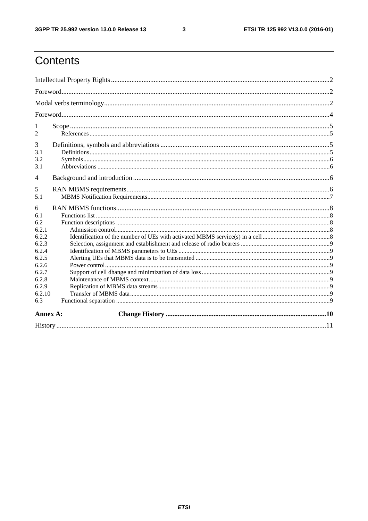$\mathbf{3}$ 

# Contents

| 1<br>2                                     |  |
|--------------------------------------------|--|
| 3<br>3.1<br>3.2<br>3.1                     |  |
| $\overline{4}$                             |  |
| 5<br>5.1                                   |  |
| 6<br>6.1<br>6.2<br>6.2.1<br>6.2.2<br>6.2.3 |  |
| 6.2.4<br>6.2.5<br>6.2.6                    |  |
| 6.2.7<br>6.2.8<br>6.2.9                    |  |
| 6.2.10<br>6.3                              |  |
| Annex A:                                   |  |
|                                            |  |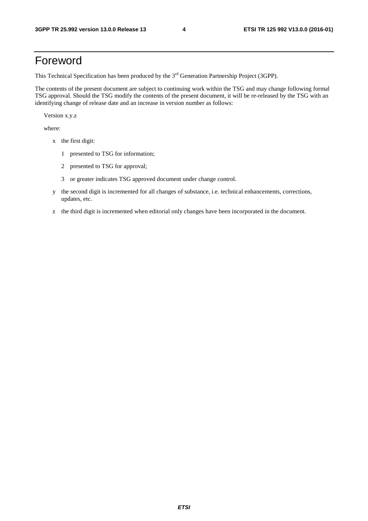### Foreword

This Technical Specification has been produced by the 3<sup>rd</sup> Generation Partnership Project (3GPP).

The contents of the present document are subject to continuing work within the TSG and may change following formal TSG approval. Should the TSG modify the contents of the present document, it will be re-released by the TSG with an identifying change of release date and an increase in version number as follows:

Version x.y.z

where:

- x the first digit:
	- 1 presented to TSG for information;
	- 2 presented to TSG for approval;
	- 3 or greater indicates TSG approved document under change control.
- y the second digit is incremented for all changes of substance, i.e. technical enhancements, corrections, updates, etc.
- z the third digit is incremented when editorial only changes have been incorporated in the document.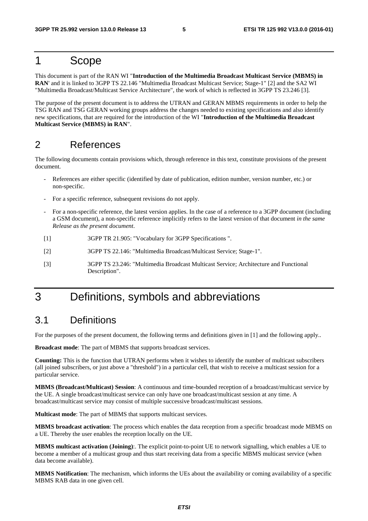### 1 Scope

This document is part of the RAN WI "**Introduction of the Multimedia Broadcast Multicast Service (MBMS) in RAN**' and it is linked to 3GPP TS 22.146 "Multimedia Broadcast Multicast Service; Stage-1" [2] and the SA2 WI "Multimedia Broadcast/Multicast Service Architecture", the work of which is reflected in 3GPP TS 23.246 [3].

The purpose of the present document is to address the UTRAN and GERAN MBMS requirements in order to help the TSG RAN and TSG GERAN working groups address the changes needed to existing specifications and also identify new specifications, that are required for the introduction of the WI "**Introduction of the Multimedia Broadcast Multicast Service (MBMS) in RAN**".

### 2 References

The following documents contain provisions which, through reference in this text, constitute provisions of the present document.

- References are either specific (identified by date of publication, edition number, version number, etc.) or non-specific.
- For a specific reference, subsequent revisions do not apply.
- For a non-specific reference, the latest version applies. In the case of a reference to a 3GPP document (including a GSM document), a non-specific reference implicitly refers to the latest version of that document *in the same Release as the present document*.
- [1] 3GPP TR 21.905: "Vocabulary for 3GPP Specifications ".
- [2] 3GPP TS 22.146: "Multimedia Broadcast/Multicast Service; Stage-1".
- [3] 3GPP TS 23.246: "Multimedia Broadcast Multicast Service; Architecture and Functional Description".

## 3 Definitions, symbols and abbreviations

### 3.1 Definitions

For the purposes of the present document, the following terms and definitions given in [1] and the following apply..

**Broadcast mode**: The part of MBMS that supports broadcast services.

**Counting:** This is the function that UTRAN performs when it wishes to identify the number of multicast subscribers (all joined subscribers, or just above a "threshold") in a particular cell, that wish to receive a multicast session for a particular service.

**MBMS (Broadcast/Multicast) Session**: A continuous and time-bounded reception of a broadcast/multicast service by the UE. A single broadcast/multicast service can only have one broadcast/multicast session at any time. A broadcast/multicast service may consist of multiple successive broadcast/multicast sessions.

**Multicast mode**: The part of MBMS that supports multicast services.

**MBMS broadcast activation**: The process which enables the data reception from a specific broadcast mode MBMS on a UE. Thereby the user enables the reception locally on the UE.

**MBMS multicast activation (Joining)**:. The explicit point-to-point UE to network signalling, which enables a UE to become a member of a multicast group and thus start receiving data from a specific MBMS multicast service (when data become available).

**MBMS Notification**: The mechanism, which informs the UEs about the availability or coming availability of a specific MBMS RAB data in one given cell.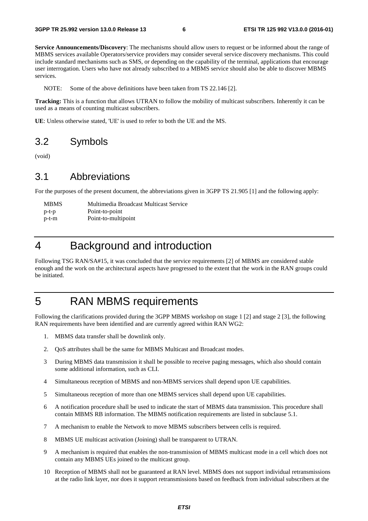**Service Announcements/Discovery**: The mechanisms should allow users to request or be informed about the range of MBMS services available Operators/service providers may consider several service discovery mechanisms. This could include standard mechanisms such as SMS, or depending on the capability of the terminal, applications that encourage user interrogation. Users who have not already subscribed to a MBMS service should also be able to discover MBMS services.

NOTE: Some of the above definitions have been taken from TS 22.146 [2].

**Tracking:** This is a function that allows UTRAN to follow the mobility of multicast subscribers. Inherently it can be used as a means of counting multicast subscribers.

**UE**: Unless otherwise stated, 'UE' is used to refer to both the UE and the MS.

### 3.2 Symbols

(void)

### 3.1 Abbreviations

For the purposes of the present document, the abbreviations given in 3GPP TS 21.905 [1] and the following apply:

| <b>MBMS</b> | Multimedia Broadcast Multicast Service |
|-------------|----------------------------------------|
| $p-t-p$     | Point-to-point                         |
| p-t-m       | Point-to-multipoint                    |

### 4 Background and introduction

Following TSG RAN/SA#15, it was concluded that the service requirements [2] of MBMS are considered stable enough and the work on the architectural aspects have progressed to the extent that the work in the RAN groups could be initiated.

### 5 RAN MBMS requirements

Following the clarifications provided during the 3GPP MBMS workshop on stage 1 [2] and stage 2 [3], the following RAN requirements have been identified and are currently agreed within RAN WG2:

- 1. MBMS data transfer shall be downlink only.
- 2. QoS attributes shall be the same for MBMS Multicast and Broadcast modes.
- 3 During MBMS data transmission it shall be possible to receive paging messages, which also should contain some additional information, such as CLI.
- 4 Simultaneous reception of MBMS and non-MBMS services shall depend upon UE capabilities.
- 5 Simultaneous reception of more than one MBMS services shall depend upon UE capabilities.
- 6 A notification procedure shall be used to indicate the start of MBMS data transmission. This procedure shall contain MBMS RB information. The MBMS notification requirements are listed in subclause 5.1.
- 7 A mechanism to enable the Network to move MBMS subscribers between cells is required.
- 8 MBMS UE multicast activation (Joining) shall be transparent to UTRAN.
- 9 A mechanism is required that enables the non-transmission of MBMS multicast mode in a cell which does not contain any MBMS UEs joined to the multicast group.
- 10 Reception of MBMS shall not be guaranteed at RAN level. MBMS does not support individual retransmissions at the radio link layer, nor does it support retransmissions based on feedback from individual subscribers at the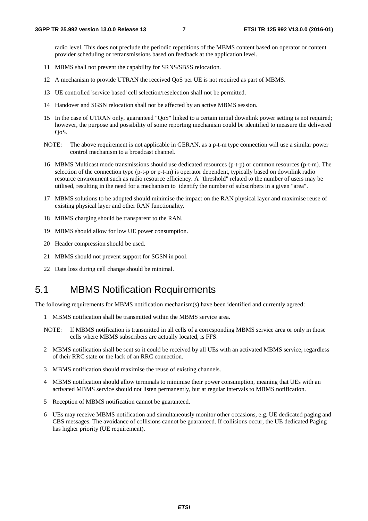radio level. This does not preclude the periodic repetitions of the MBMS content based on operator or content provider scheduling or retransmissions based on feedback at the application level.

- 11 MBMS shall not prevent the capability for SRNS/SBSS relocation.
- 12 A mechanism to provide UTRAN the received QoS per UE is not required as part of MBMS.
- 13 UE controlled 'service based' cell selection/reselection shall not be permitted.
- 14 Handover and SGSN relocation shall not be affected by an active MBMS session.
- 15 In the case of UTRAN only, guaranteed "QoS" linked to a certain initial downlink power setting is not required; however, the purpose and possibility of some reporting mechanism could be identified to measure the delivered QoS.
- NOTE: The above requirement is not applicable in GERAN, as a p-t-m type connection will use a similar power control mechanism to a broadcast channel.
- 16 MBMS Multicast mode transmissions should use dedicated resources (p-t-p) or common resources (p-t-m). The selection of the connection type (p-t-p or p-t-m) is operator dependent, typically based on downlink radio resource environment such as radio resource efficiency. A "threshold" related to the number of users may be utilised, resulting in the need for a mechanism to identify the number of subscribers in a given "area".
- 17 MBMS solutions to be adopted should minimise the impact on the RAN physical layer and maximise reuse of existing physical layer and other RAN functionality.
- 18 MBMS charging should be transparent to the RAN.
- 19 MBMS should allow for low UE power consumption.
- 20 Header compression should be used.
- 21 MBMS should not prevent support for SGSN in pool.
- 22 Data loss during cell change should be minimal.

### 5.1 MBMS Notification Requirements

The following requirements for MBMS notification mechanism(s) have been identified and currently agreed:

- 1 MBMS notification shall be transmitted within the MBMS service area.
- NOTE: If MBMS notification is transmitted in all cells of a corresponding MBMS service area or only in those cells where MBMS subscribers are actually located, is FFS.
- 2 MBMS notification shall be sent so it could be received by all UEs with an activated MBMS service, regardless of their RRC state or the lack of an RRC connection.
- 3 MBMS notification should maximise the reuse of existing channels.
- 4 MBMS notification should allow terminals to minimise their power consumption, meaning that UEs with an activated MBMS service should not listen permanently, but at regular intervals to MBMS notification.
- 5 Reception of MBMS notification cannot be guaranteed.
- 6 UEs may receive MBMS notification and simultaneously monitor other occasions, e.g. UE dedicated paging and CBS messages. The avoidance of collisions cannot be guaranteed. If collisions occur, the UE dedicated Paging has higher priority (UE requirement).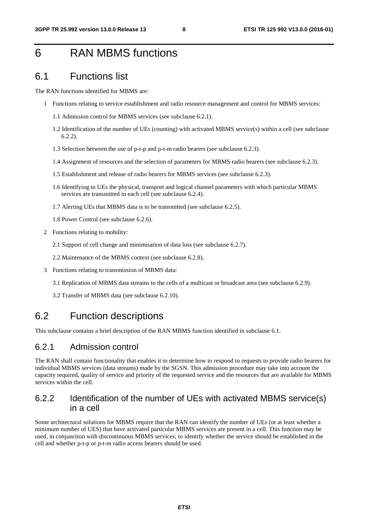### 6 RAN MBMS functions

### 6.1 Functions list

The RAN functions identified for MBMS are:

- 1 Functions relating to service establishment and radio resource management and control for MBMS services:
	- 1.1 Admission control for MBMS services (see subclause 6.2.1).
	- 1.2 Identification of the number of UEs (counting) with activated MBMS service(s) within a cell (see subclause 6.2.2).
	- 1.3 Selection between the use of p-t-p and p-t-m radio bearers (see subclause 6.2.3).
	- 1.4 Assignment of resources and the selection of parameters for MBMS radio bearers (see subclause 6.2.3).
	- 1.5 Establishment and release of radio bearers for MBMS services (see subclause 6.2.3).
	- 1.6 Identifying to UEs the physical, transport and logical channel parameters with which particular MBMS services are transmitted in each cell (see subclause 6.2.4).
	- 1.7 Alerting UEs that MBMS data is to be transmitted (see subclause 6.2.5).
	- 1.8 Power Control (see subclause 6.2.6).
- 2 Functions relating to mobility:
	- 2.1 Support of cell change and minimisation of data loss (see subclause 6.2.7).
	- 2.2 Maintenance of the MBMS context (see subclause 6.2.8).
- 3 Functions relating to transmission of MBMS data:
	- 3.1 Replication of MBMS data streams to the cells of a multicast or broadcast area (see subclause 6.2.9).
	- 3.2 Transfer of MBMS data (see subclause 6.2.10).

### 6.2 Function descriptions

This subclause contains a brief description of the RAN MBMS function identified in subclause 6.1.

#### 6.2.1 Admission control

The RAN shall contain functionality that enables it to determine how to respond to requests to provide radio bearers for individual MBMS services (data streams) made by the SGSN. This admission procedure may take into account the capacity required, quality of service and priority of the requested service and the resources that are available for MBMS services within the cell.

#### 6.2.2 Identification of the number of UEs with activated MBMS service(s) in a cell

Some architectural solutions for MBMS require that the RAN can identify the number of UEs (or at least whether a minimum number of UES) that have activated particular MBMS services are present in a cell. This function may be used, in conjunction with discontinuous MBMS services, to identify whether the service should be established in the cell and whether p-t-p or p-t-m radio access bearers should be used.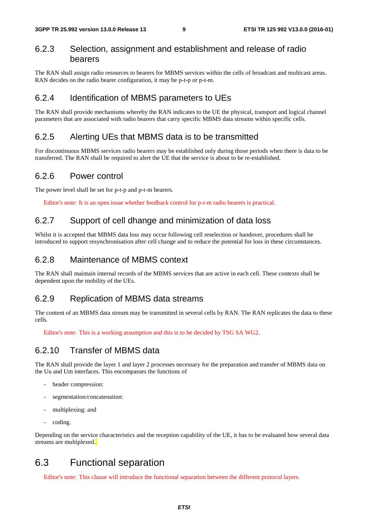#### 6.2.3 Selection, assignment and establishment and release of radio bearers

The RAN shall assign radio resources to bearers for MBMS services within the cells of broadcast and multicast areas. RAN decides on the radio bearer configuration, it may be p-t-p or p-t-m.

#### 6.2.4 Identification of MBMS parameters to UEs

The RAN shall provide mechanisms whereby the RAN indicates to the UE the physical, transport and logical channel parameters that are associated with radio bearers that carry specific MBMS data streams within specific cells.

#### 6.2.5 Alerting UEs that MBMS data is to be transmitted

For discontinuous MBMS services radio bearers may be established only during those periods when there is data to be transferred. The RAN shall be required to alert the UE that the service is about to be re-established.

#### 6.2.6 Power control

The power level shall be set for p-t-p and p-t-m bearers.

Editor's note: It is an open issue whether feedback control for p-t-m radio bearers is practical.

#### 6.2.7 Support of cell dhange and minimization of data loss

Whilst it is accepted that MBMS data loss may occur following cell reselection or handover, procedures shall be introduced to support resynchronisation after cell change and to reduce the potential for loss in these circumstances.

#### 6.2.8 Maintenance of MBMS context

The RAN shall maintain internal records of the MBMS services that are active in each cell. These contexts shall be dependent upon the mobility of the UEs.

### 6.2.9 Replication of MBMS data streams

The content of an MBMS data stream may be transmitted in several cells by RAN. The RAN replicates the data to these cells.

Editor's note: This is a working assumption and this is to be decided by TSG SA WG2.

### 6.2.10 Transfer of MBMS data

The RAN shall provide the layer 1 and layer 2 processes necessary for the preparation and transfer of MBMS data on the Uu and Um interfaces. This encompasses the functions of

- header compression:
- segmentation/concatenation:
- multiplexing: and
- coding.

Depending on the service characteristics and the reception capability of the UE, it has to be evaluated how several data streams are multiplexed.

### 6.3 Functional separation

Editor's note: This clause will introduce the functional separation between the different protocol layers.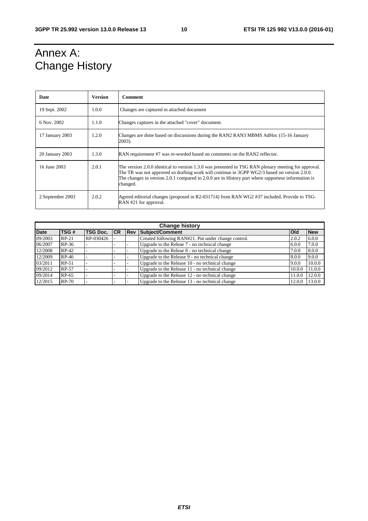# Annex A: Change History

| Date                      | <b>Version</b> | <b>Comment</b>                                                                                                                                                                                                                                                                                                        |
|---------------------------|----------------|-----------------------------------------------------------------------------------------------------------------------------------------------------------------------------------------------------------------------------------------------------------------------------------------------------------------------|
| 19 Sept. 2002             | 1.0.0          | Changes are captured in attached document                                                                                                                                                                                                                                                                             |
| 6 Nov. 2002<br>1.1.0      |                | Changes captures in the attached "cover" document.                                                                                                                                                                                                                                                                    |
| 17 January 2003           | 1.2.0          | Changes are done based on discussions during the RAN2 RAN3 MBMS AdHoc (15-16 January<br>2003).                                                                                                                                                                                                                        |
| 20 January 2003           | 1.3.0          | RAN requirement #7 was re-worded based on comments on the RAN2 reflector.                                                                                                                                                                                                                                             |
| 16 June 2003              | 2.0.1          | The version 2.0.0 identical to version 1.3.0 was presented in TSG RAN plenary meeting for approval.<br>The TR was not approved so drafting work will continue in 3GPP WG2/3 based on version 2.0.0.<br>The changes in version 2.0.1 compared to 2.0.0 are in History part where rapporteur information is<br>changed. |
| 2.0.2<br>2 September 2003 |                | Agreed editorial changes (proposed in R2-031714) from RAN WG2 #37 included. Provide to TSG-<br>RAN #21 for approval.                                                                                                                                                                                                  |

| <b>Change history</b> |         |                     |  |             |                                                     |            |            |
|-----------------------|---------|---------------------|--|-------------|-----------------------------------------------------|------------|------------|
| <b>Date</b>           | TSG#    | <b>TSG Doc. ICR</b> |  | <b>IRev</b> | Subject/Comment                                     | <b>Old</b> | <b>New</b> |
| 09/2003               | $RP-21$ | RP-030426           |  |             | Created following RAN#21. Put under change control. | 2.0.2      | 6.0.0      |
| 06/2007               | $RP-36$ |                     |  |             | Upgrade to the Releae 7 - no technical change       | 6.0.0      | 7.0.0      |
| 12/2008               | $RP-42$ |                     |  |             | Upgrade to the Releae 8 - no technical change       | 7.0.0      | 8.0.0      |
| 12/2009               | $RP-46$ |                     |  |             | Upgrade to the Release 9 - no technical change      | 8.0.0      | 9.0.0      |
| 03/2011               | $RP-51$ |                     |  |             | Upgrade to the Release 10 - no technical change     | 9.0.0      | 10.0.0     |
| 09/2012               | RP-57   |                     |  |             | Upgrade to the Release 11 - no technical change     | 10.0.0     | 11.0.0     |
| 09/2014               | $RP-65$ |                     |  |             | Upgrade to the Release 12 - no technical change     | 11.0.0     | 12.0.0     |
| 12/2015               | $RP-70$ |                     |  |             | Upgrade to the Release 13 - no technical change     | 12.0.0     | 13.0.0     |